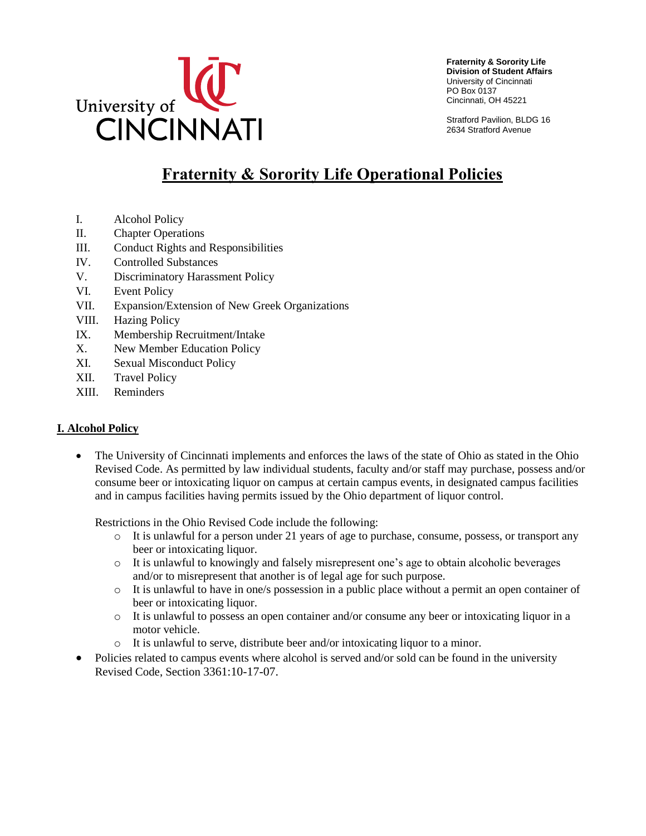

**Fraternity & Sorority Life Division of Student Affairs** University of Cincinnati PO Box 0137 Cincinnati, OH 45221

Stratford Pavilion, BLDG 16 2634 Stratford Avenue

# **Fraternity & Sorority Life Operational Policies**

- I. Alcohol Policy
- II. Chapter Operations
- III. Conduct Rights and Responsibilities
- IV. Controlled Substances
- V. Discriminatory Harassment Policy
- VI. Event Policy
- VII. Expansion/Extension of New Greek Organizations
- VIII. Hazing Policy
- IX. Membership Recruitment/Intake
- X. New Member Education Policy
- XI. Sexual Misconduct Policy
- XII. Travel Policy
- XIII. Reminders

#### **I. Alcohol Policy**

 The University of Cincinnati implements and enforces the laws of the state of Ohio as stated in the Ohio Revised Code. As permitted by law individual students, faculty and/or staff may purchase, possess and/or consume beer or intoxicating liquor on campus at certain campus events, in designated campus facilities and in campus facilities having permits issued by the Ohio department of liquor control.

Restrictions in the Ohio Revised Code include the following:

- o It is unlawful for a person under 21 years of age to purchase, consume, possess, or transport any beer or intoxicating liquor.
- o It is unlawful to knowingly and falsely misrepresent one's age to obtain alcoholic beverages and/or to misrepresent that another is of legal age for such purpose.
- $\circ$  It is unlawful to have in one/s possession in a public place without a permit an open container of beer or intoxicating liquor.
- $\circ$  It is unlawful to possess an open container and/or consume any beer or intoxicating liquor in a motor vehicle.
- o It is unlawful to serve, distribute beer and/or intoxicating liquor to a minor.
- Policies related to campus events where alcohol is served and/or sold can be found in the university Revised Code, Section 3361:10-17-07.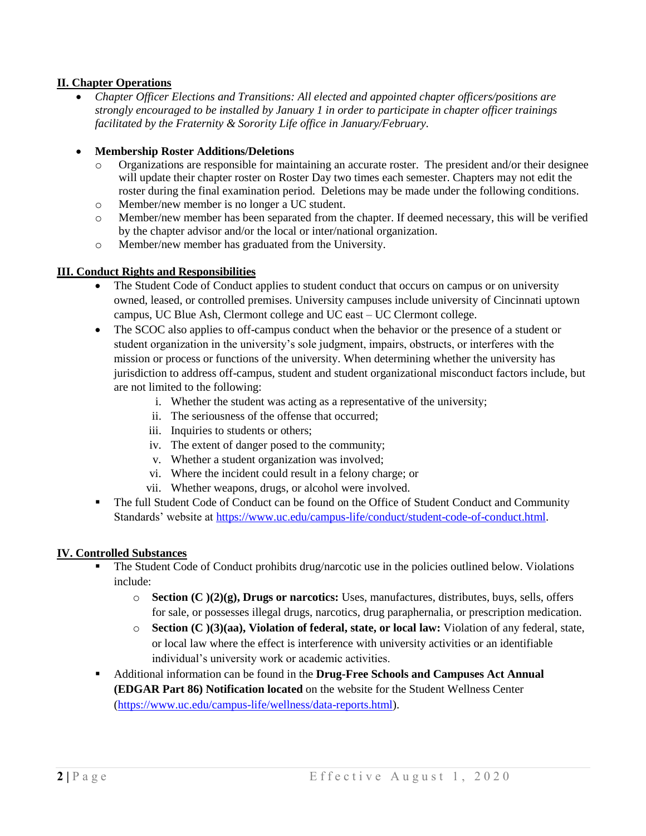#### **II. Chapter Operations**

- *Chapter Officer Elections and Transitions: All elected and appointed chapter officers/positions are strongly encouraged to be installed by January 1 in order to participate in chapter officer trainings facilitated by the Fraternity & Sorority Life office in January/February.*
- **Membership Roster Additions/Deletions**
	- o Organizations are responsible for maintaining an accurate roster. The president and/or their designee will update their chapter roster on Roster Day two times each semester. Chapters may not edit the roster during the final examination period. Deletions may be made under the following conditions.
	- o Member/new member is no longer a UC student.
	- o Member/new member has been separated from the chapter. If deemed necessary, this will be verified by the chapter advisor and/or the local or inter/national organization.
	- o Member/new member has graduated from the University.

#### **III. Conduct Rights and Responsibilities**

- The Student Code of Conduct applies to student conduct that occurs on campus or on university owned, leased, or controlled premises. University campuses include university of Cincinnati uptown campus, UC Blue Ash, Clermont college and UC east – UC Clermont college.
- The SCOC also applies to off-campus conduct when the behavior or the presence of a student or student organization in the university's sole judgment, impairs, obstructs, or interferes with the mission or process or functions of the university. When determining whether the university has jurisdiction to address off-campus, student and student organizational misconduct factors include, but are not limited to the following:
	- i. Whether the student was acting as a representative of the university;
	- ii. The seriousness of the offense that occurred;
	- iii. Inquiries to students or others;
	- iv. The extent of danger posed to the community;
	- v. Whether a student organization was involved;
	- vi. Where the incident could result in a felony charge; or
	- vii. Whether weapons, drugs, or alcohol were involved.
- The full Student Code of Conduct can be found on the Office of Student Conduct and Community Standards' website at [https://www.uc.edu/campus-life/conduct/student-code-of-conduct.html.](https://www.uc.edu/campus-life/conduct/student-code-of-conduct.html)

#### **IV. Controlled Substances**

- The Student Code of Conduct prohibits drug/narcotic use in the policies outlined below. Violations include:
	- o **Section (C )(2)(g), Drugs or narcotics:** Uses, manufactures, distributes, buys, sells, offers for sale, or possesses illegal drugs, narcotics, drug paraphernalia, or prescription medication.
	- o **Section (C )(3)(aa), Violation of federal, state, or local law:** Violation of any federal, state, or local law where the effect is interference with university activities or an identifiable individual's university work or academic activities.
- Additional information can be found in the **Drug-Free Schools and Campuses Act Annual (EDGAR Part 86) Notification located** on the website for the Student Wellness Center [\(https://www.uc.edu/campus-life/wellness/data-reports.html\)](https://www.uc.edu/campus-life/wellness/data-reports.html).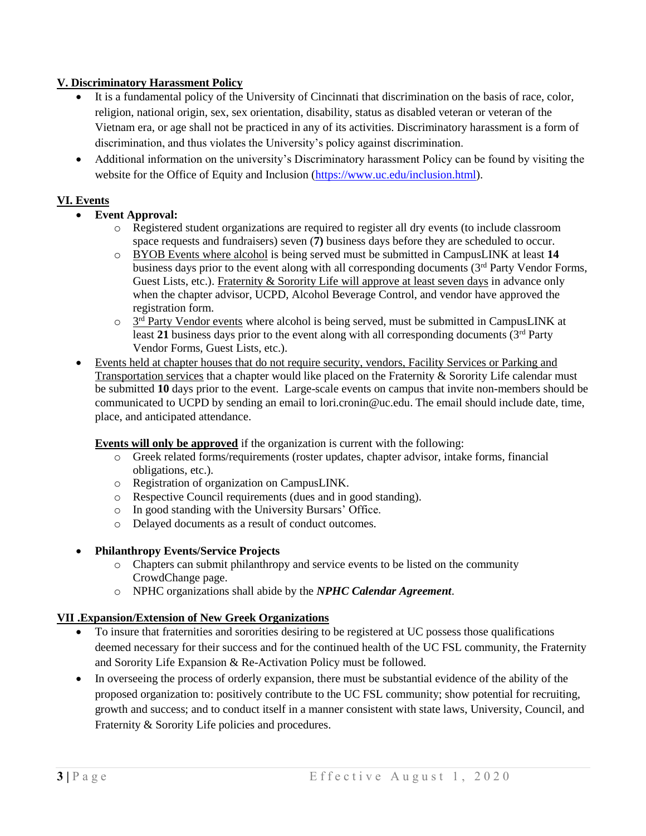#### **V. Discriminatory Harassment Policy**

- It is a fundamental policy of the University of Cincinnati that discrimination on the basis of race, color, religion, national origin, sex, sex orientation, disability, status as disabled veteran or veteran of the Vietnam era, or age shall not be practiced in any of its activities. Discriminatory harassment is a form of discrimination, and thus violates the University's policy against discrimination.
- Additional information on the university's Discriminatory harassment Policy can be found by visiting the website for the Office of Equity and Inclusion [\(https://www.uc.edu/inclusion.html\)](https://www.uc.edu/inclusion.html).

# **VI. Events**

- **Event Approval:**
	- o Registered student organizations are required to register all dry events (to include classroom space requests and fundraisers) seven (**7)** business days before they are scheduled to occur.
	- o BYOB Events where alcohol is being served must be submitted in CampusLINK at least **14** business days prior to the event along with all corresponding documents (3<sup>rd</sup> Party Vendor Forms, Guest Lists, etc.). Fraternity & Sorority Life will approve at least seven days in advance only when the chapter advisor, UCPD, Alcohol Beverage Control, and vendor have approved the registration form.
	- $\circ$  3<sup>rd</sup> Party Vendor events where alcohol is being served, must be submitted in CampusLINK at least 21 business days prior to the event along with all corresponding documents (3<sup>rd</sup> Party Vendor Forms, Guest Lists, etc.).
- Events held at chapter houses that do not require security, vendors, Facility Services or Parking and Transportation services that a chapter would like placed on the Fraternity & Sorority Life calendar must be submitted **10** days prior to the event. Large-scale events on campus that invite non-members should be communicated to UCPD by sending an email to [lori.cronin@uc.edu](mailto:lori.cronin@uc.edu). The email should include date, time, place, and anticipated attendance.

**Events will only be approved** if the organization is current with the following:

- o Greek related forms/requirements (roster updates, chapter advisor, intake forms, financial obligations, etc.).
- o Registration of organization on CampusLINK.
- o Respective Council requirements (dues and in good standing).
- o In good standing with the University Bursars' Office.
- o Delayed documents as a result of conduct outcomes.
- **Philanthropy Events/Service Projects**
	- o Chapters can submit philanthropy and service events to be listed on the community CrowdChange page.
	- o NPHC organizations shall abide by the *NPHC Calendar Agreement*.

#### **VII .Expansion/Extension of New Greek Organizations**

- To insure that fraternities and sororities desiring to be registered at UC possess those qualifications deemed necessary for their success and for the continued health of the UC FSL community, the Fraternity and Sorority Life Expansion & Re-Activation Policy must be followed.
- In overseeing the process of orderly expansion, there must be substantial evidence of the ability of the proposed organization to: positively contribute to the UC FSL community; show potential for recruiting, growth and success; and to conduct itself in a manner consistent with state laws, University, Council, and Fraternity & Sorority Life policies and procedures.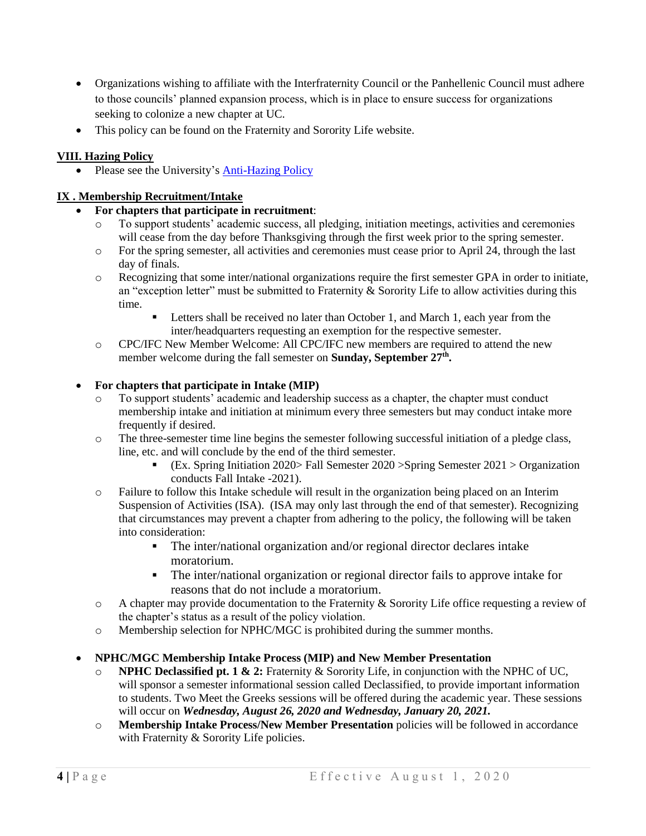- Organizations wishing to affiliate with the Interfraternity Council or the Panhellenic Council must adhere to those councils' planned expansion process, which is in place to ensure success for organizations seeking to colonize a new chapter at UC.
- This policy can be found on the Fraternity and Sorority Life website.

# **VIII. Hazing Policy**

• Please see the University's [Anti-Hazing Policy](https://www.uc.edu/content/dam/uc/trustees/docs/rules_40/40-03-12.pdf)

### **IX . Membership Recruitment/Intake**

### **For chapters that participate in recruitment**:

- o To support students' academic success, all pledging, initiation meetings, activities and ceremonies will cease from the day before Thanksgiving through the first week prior to the spring semester.
- $\circ$  For the spring semester, all activities and ceremonies must cease prior to April 24, through the last day of finals.
- o Recognizing that some inter/national organizations require the first semester GPA in order to initiate, an "exception letter" must be submitted to Fraternity  $\&$  Sorority Life to allow activities during this time.
	- Letters shall be received no later than October 1, and March 1, each year from the inter/headquarters requesting an exemption for the respective semester.
- o CPC/IFC New Member Welcome: All CPC/IFC new members are required to attend the new member welcome during the fall semester on **Sunday, September 27<sup>th</sup>**.

#### **For chapters that participate in Intake (MIP)**

- To support students' academic and leadership success as a chapter, the chapter must conduct membership intake and initiation at minimum every three semesters but may conduct intake more frequently if desired.
- o The three-semester time line begins the semester following successful initiation of a pledge class, line, etc. and will conclude by the end of the third semester.
	- (Ex. Spring Initiation 2020> Fall Semester 2020 >Spring Semester 2021 > Organization conducts Fall Intake -2021).
- o Failure to follow this Intake schedule will result in the organization being placed on an Interim Suspension of Activities (ISA). (ISA may only last through the end of that semester). Recognizing that circumstances may prevent a chapter from adhering to the policy, the following will be taken into consideration:
	- The inter/national organization and/or regional director declares intake moratorium.
	- The inter/national organization or regional director fails to approve intake for reasons that do not include a moratorium.
- o A chapter may provide documentation to the Fraternity & Sorority Life office requesting a review of the chapter's status as a result of the policy violation.
- o Membership selection for NPHC/MGC is prohibited during the summer months.
- **NPHC/MGC Membership Intake Process (MIP) and New Member Presentation**
	- o **NPHC Declassified pt. 1 & 2:** Fraternity & Sorority Life, in conjunction with the NPHC of UC, will sponsor a semester informational session called Declassified, to provide important information to students. Two Meet the Greeks sessions will be offered during the academic year. These sessions will occur on *Wednesday, August 26, 2020 and Wednesday, January 20, 2021.*
	- o **Membership Intake Process/New Member Presentation** policies will be followed in accordance with Fraternity & Sorority Life policies.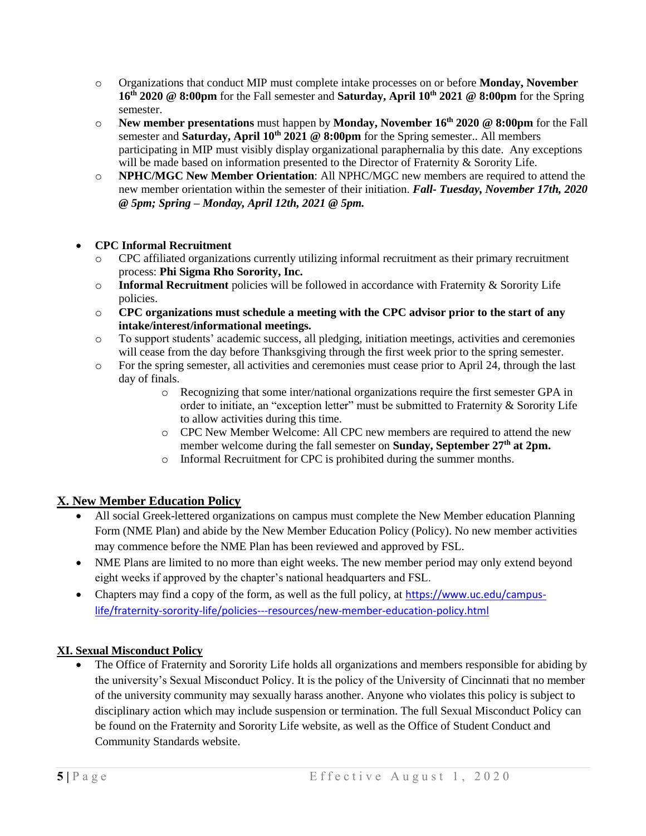- o Organizations that conduct MIP must complete intake processes on or before **Monday, November 16th 2020 @ 8:00pm** for the Fall semester and **Saturday, April 10th 2021 @ 8:00pm** for the Spring semester.
- o **New member presentations** must happen by **Monday, November 16th 2020 @ 8:00pm** for the Fall semester and **Saturday, April 10th 2021 @ 8:00pm** for the Spring semester.. All members participating in MIP must visibly display organizational paraphernalia by this date. Any exceptions will be made based on information presented to the Director of Fraternity & Sorority Life.
- o **NPHC/MGC New Member Orientation**: All NPHC/MGC new members are required to attend the new member orientation within the semester of their initiation. *Fall- Tuesday, November 17th, 2020 @ 5pm; Spring – Monday, April 12th, 2021 @ 5pm.*

# **CPC Informal Recruitment**

- o CPC affiliated organizations currently utilizing informal recruitment as their primary recruitment process: **Phi Sigma Rho Sorority, Inc.**
- o **Informal Recruitment** policies will be followed in accordance with Fraternity & Sorority Life policies.
- o **CPC organizations must schedule a meeting with the CPC advisor prior to the start of any intake/interest/informational meetings.**
- o To support students' academic success, all pledging, initiation meetings, activities and ceremonies will cease from the day before Thanksgiving through the first week prior to the spring semester.
- o For the spring semester, all activities and ceremonies must cease prior to April 24, through the last day of finals.
	- o Recognizing that some inter/national organizations require the first semester GPA in order to initiate, an "exception letter" must be submitted to Fraternity & Sorority Life to allow activities during this time.
	- o CPC New Member Welcome: All CPC new members are required to attend the new member welcome during the fall semester on **Sunday, September 27th at 2pm.**
	- o Informal Recruitment for CPC is prohibited during the summer months.

# **X. New Member Education Policy**

- All social Greek-lettered organizations on campus must complete the New Member education Planning Form (NME Plan) and abide by the New Member Education Policy (Policy). No new member activities may commence before the NME Plan has been reviewed and approved by FSL.
- NME Plans are limited to no more than eight weeks. The new member period may only extend beyond eight weeks if approved by the chapter's national headquarters and FSL.
- Chapters may find a copy of the form, as well as the full policy, at [https://www.uc.edu/campus](https://www.uc.edu/campus-life/fraternity-sorority-life/policies---resources/new-member-education-policy.html)[life/fraternity-sorority-life/policies---resources/new-member-education-policy.html](https://www.uc.edu/campus-life/fraternity-sorority-life/policies---resources/new-member-education-policy.html)

# **XI. Sexual Misconduct Policy**

 The Office of Fraternity and Sorority Life holds all organizations and members responsible for abiding by the university's Sexual Misconduct Policy. It is the policy of the University of Cincinnati that no member of the university community may sexually harass another. Anyone who violates this policy is subject to disciplinary action which may include suspension or termination. The full Sexual Misconduct Policy can be found on the Fraternity and Sorority Life website, as well as the Office of Student Conduct and Community Standards website.